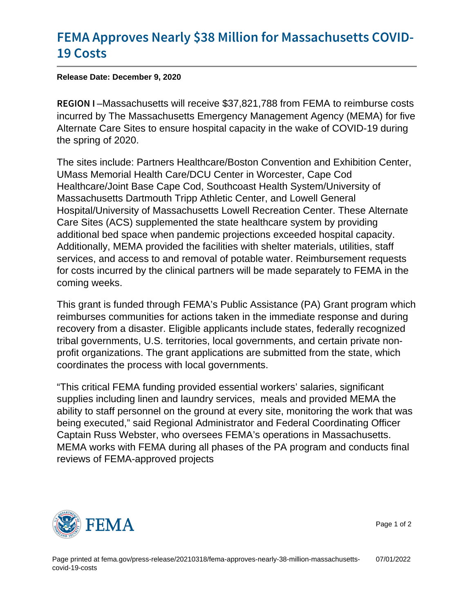## [FEMA Approves Nearly \\$38 Million f](https://www.fema.gov/press-release/20210318/fema-approves-nearly-38-million-massachusetts-covid-19-costs)or Mas [19 Co](https://www.fema.gov/press-release/20210318/fema-approves-nearly-38-million-massachusetts-covid-19-costs)sts

Release Date: December 9, 2020

REGION Massachusetts will receive \$37,821,788 from FEMA to reimburse costs incurred by The Massachusetts Emergency Management Agency (MEMA) for five Alternate Care Sites to ensure hospital capacity in the wake of COVID-19 during the spring of 2020.

The sites include: Partners Healthcare/Boston Convention and Exhibition Center, UMass Memorial Health Care/DCU Center in Worcester, Cape Cod Healthcare/Joint Base Cape Cod, Southcoast Health System/University of Massachusetts Dartmouth Tripp Athletic Center, and Lowell General Hospital/University of Massachusetts Lowell Recreation Center. These Alternate Care Sites (ACS) supplemented the state healthcare system by providing additional bed space when pandemic projections exceeded hospital capacity. Additionally, MEMA provided the facilities with shelter materials, utilities, staff services, and access to and removal of potable water. Reimbursement requests for costs incurred by the clinical partners will be made separately to FEMA in the coming weeks.

This grant is funded through FEMA's Public Assistance (PA) Grant program which reimburses communities for actions taken in the immediate response and during recovery from a disaster. Eligible applicants include states, federally recognized tribal governments, U.S. territories, local governments, and certain private nonprofit organizations. The grant applications are submitted from the state, which coordinates the process with local governments.

"This critical FEMA funding provided essential workers' salaries, significant supplies including linen and laundry services, meals and provided MEMA the ability to staff personnel on the ground at every site, monitoring the work that was being executed," said Regional Administrator and Federal Coordinating Officer Captain Russ Webster, who oversees FEMA's operations in Massachusetts. MEMA works with FEMA during all phases of the PA program and conducts final reviews of FEMA-approved projects



Page 1 of 2